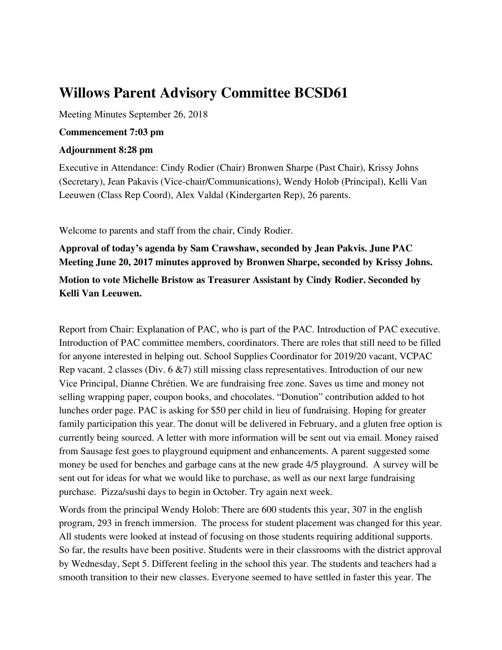# **Willows Parent Advisory Committee BCSD61**

Meeting Minutes September 26, 2018

#### **Commencement 7:03 pm**

#### **Adjournment 8:28 pm**

Executive in Attendance: Cindy Rodier (Chair) Bronwen Sharpe (Past Chair), Krissy Johns (Secretary), Jean Pakavis (Vice-chair/Communications), Wendy Holob (Principal), Kelli Van Leeuwen (Class Rep Coord), Alex Valdal (Kindergarten Rep), 26 parents.

Welcome to parents and staff from the chair, Cindy Rodier.

**Approval of today's agenda by Sam Crawshaw, seconded by Jean Pakvis. June PAC Meeting June 20, 2017 minutes approved by Bronwen Sharpe, seconded by Krissy Johns.**

## **Motion to vote Michelle Bristow as Treasurer Assistant by Cindy Rodier. Seconded by Kelli Van Leeuwen.**

Report from Chair: Explanation of PAC, who is part of the PAC. Introduction of PAC executive. Introduction of PAC committee members, coordinators. There are roles that still need to be filled for anyone interested in helping out. School Supplies Coordinator for 2019/20 vacant, VCPAC Rep vacant. 2 classes (Div. 6 &7) still missing class representatives. Introduction of our new Vice Principal, Dianne Chrétien. We are fundraising free zone. Saves us time and money not selling wrapping paper, coupon books, and chocolates. "Donution" contribution added to hot lunches order page. PAC is asking for \$50 per child in lieu of fundraising. Hoping for greater family participation this year. The donut will be delivered in February, and a gluten free option is currently being sourced. A letter with more information will be sent out via email. Money raised from Sausage fest goes to playground equipment and enhancements. A parent suggested some money be used for benches and garbage cans at the new grade 4/5 playground. A survey will be sent out for ideas for what we would like to purchase, as well as our next large fundraising purchase. Pizza/sushi days to begin in October. Try again next week.

Words from the principal Wendy Holob: There are 600 students this year, 307 in the english program, 293 in french immersion. The process for student placement was changed for this year. All students were looked at instead of focusing on those students requiring additional supports. So far, the results have been positive. Students were in their classrooms with the district approval by Wednesday, Sept 5. Different feeling in the school this year. The students and teachers had a smooth transition to their new classes. Everyone seemed to have settled in faster this year. The